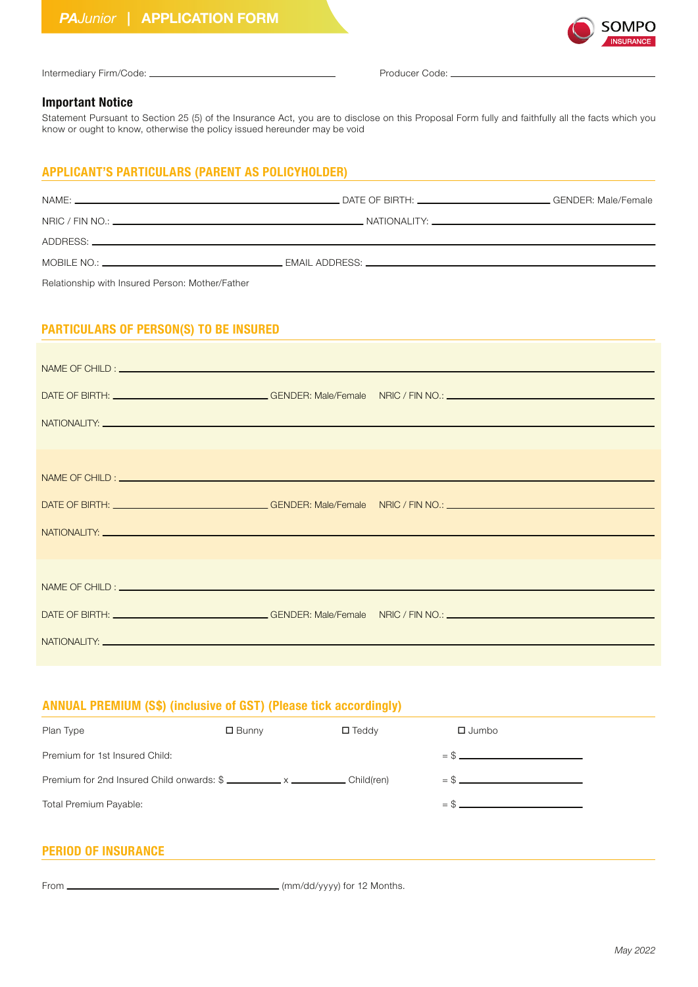

| Intermediary Firm/Code: _ |
|---------------------------|

Producer Code:

#### **Important Notice**

Statement Pursuant to Section 25 (5) of the Insurance Act, you are to disclose on this Proposal Form fully and faithfully all the facts which you know or ought to know, otherwise the policy issued hereunder may be void

### **APPLICANT'S PARTICULARS (PARENT AS POLICYHOLDER)**

| Relationship with Insured Person: Mother/Father |  |
|-------------------------------------------------|--|

# **PARTICULARS OF PERSON(S) TO BE INSURED**

| NATIONALITY: University of the contract of the contract of the contract of the contract of the contract of the |  |
|----------------------------------------------------------------------------------------------------------------|--|
|                                                                                                                |  |

## **ANNUAL PREMIUM (S\$) (inclusive of GST) (Please tick accordingly)**

| Plan Type                                 | $\square$ Bunny | $\square$ Teddy | $\Box$ Jumbo |
|-------------------------------------------|-----------------|-----------------|--------------|
| Premium for 1st Insured Child:            |                 |                 | $=$ \$       |
| Premium for 2nd Insured Child onwards: \$ |                 |                 | $=$ \$       |
| Total Premium Payable:                    |                 |                 | $=$ \$       |

### **PERIOD OF INSURANCE**

From (mm/dd/yyyy) for 12 Months.